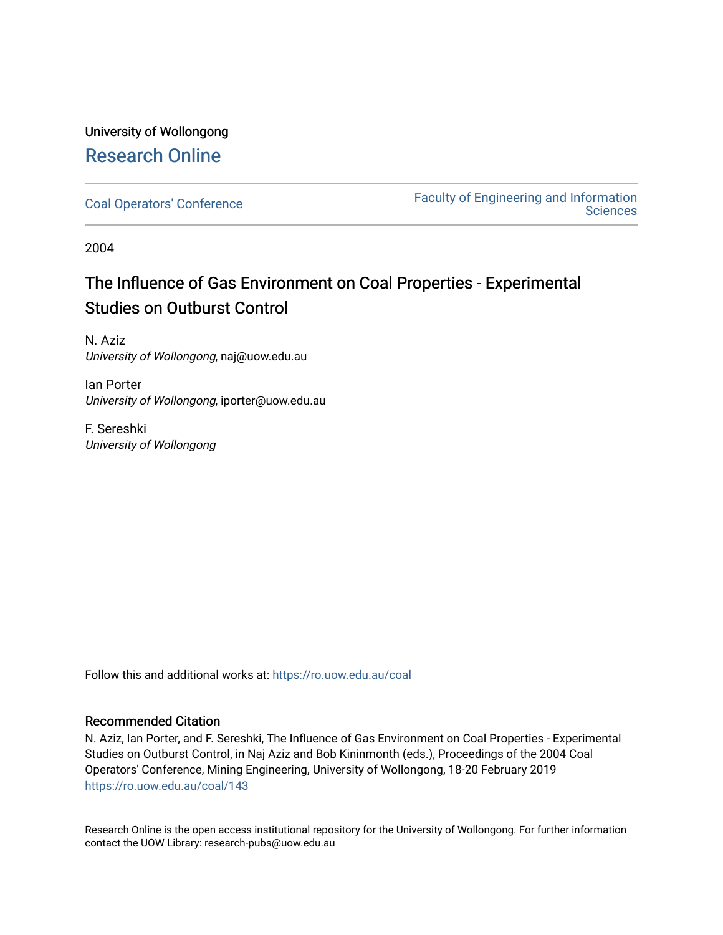# University of Wollongong [Research Online](https://ro.uow.edu.au/)

[Coal Operators' Conference](https://ro.uow.edu.au/coal) [Faculty of Engineering and Information](https://ro.uow.edu.au/eis)  **Sciences** 

2004

# The Influence of Gas Environment on Coal Properties - Experimental Studies on Outburst Control

N. Aziz University of Wollongong, naj@uow.edu.au

Ian Porter University of Wollongong, iporter@uow.edu.au

F. Sereshki University of Wollongong

Follow this and additional works at: [https://ro.uow.edu.au/coal](https://ro.uow.edu.au/coal?utm_source=ro.uow.edu.au%2Fcoal%2F143&utm_medium=PDF&utm_campaign=PDFCoverPages) 

## Recommended Citation

N. Aziz, Ian Porter, and F. Sereshki, The Influence of Gas Environment on Coal Properties - Experimental Studies on Outburst Control, in Naj Aziz and Bob Kininmonth (eds.), Proceedings of the 2004 Coal Operators' Conference, Mining Engineering, University of Wollongong, 18-20 February 2019 [https://ro.uow.edu.au/coal/143](https://ro.uow.edu.au/coal/143?utm_source=ro.uow.edu.au%2Fcoal%2F143&utm_medium=PDF&utm_campaign=PDFCoverPages) 

Research Online is the open access institutional repository for the University of Wollongong. For further information contact the UOW Library: research-pubs@uow.edu.au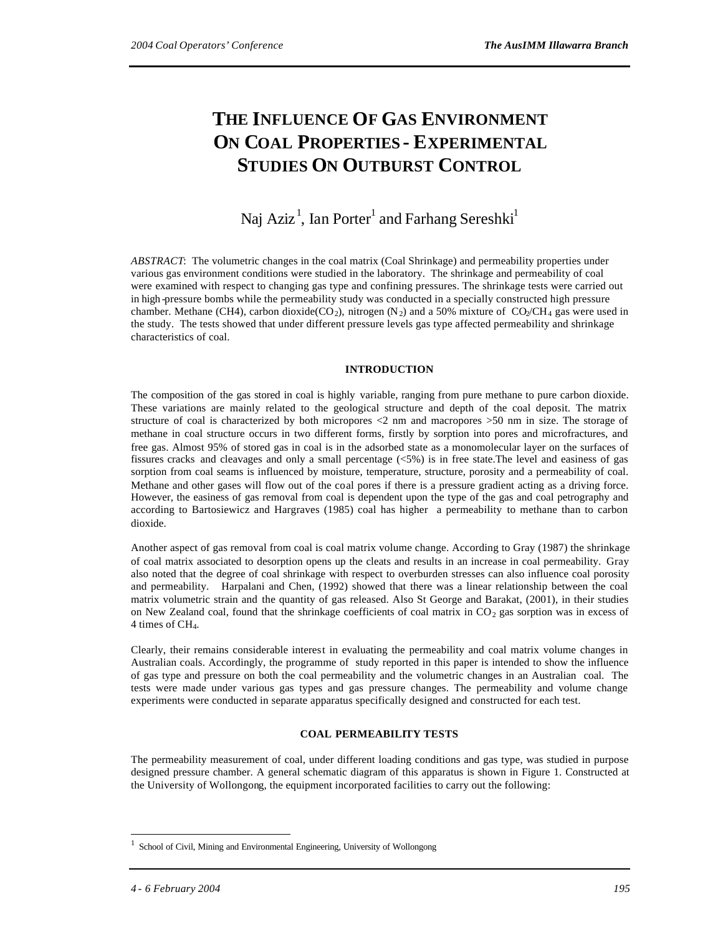# **THE INFLUENCE OF GAS ENVIRONMENT ON COAL PROPERTIES - EXPERIMENTAL STUDIES ON OUTBURST CONTROL**

## Naj Aziz $^1$ , Ian Porter $^1$  and Farhang Sereshki $^1$

*ABSTRACT*: The volumetric changes in the coal matrix (Coal Shrinkage) and permeability properties under various gas environment conditions were studied in the laboratory. The shrinkage and permeability of coal were examined with respect to changing gas type and confining pressures. The shrinkage tests were carried out in high -pressure bombs while the permeability study was conducted in a specially constructed high pressure chamber. Methane (CH4), carbon dioxide(CO<sub>2</sub>), nitrogen (N<sub>2</sub>) and a 50% mixture of CO<sub>2</sub>/CH<sub>4</sub> gas were used in the study. The tests showed that under different pressure levels gas type affected permeability and shrinkage characteristics of coal.

### **INTRODUCTION**

The composition of the gas stored in coal is highly variable, ranging from pure methane to pure carbon dioxide. These variations are mainly related to the geological structure and depth of the coal deposit. The matrix structure of coal is characterized by both micropores <2 nm and macropores >50 nm in size. The storage of methane in coal structure occurs in two different forms, firstly by sorption into pores and microfractures, and free gas. Almost 95% of stored gas in coal is in the adsorbed state as a monomolecular layer on the surfaces of fissures cracks and cleavages and only a small percentage (<5%) is in free state.The level and easiness of gas sorption from coal seams is influenced by moisture, temperature, structure, porosity and a permeability of coal. Methane and other gases will flow out of the coal pores if there is a pressure gradient acting as a driving force. However, the easiness of gas removal from coal is dependent upon the type of the gas and coal petrography and according to Bartosiewicz and Hargraves (1985) coal has higher a permeability to methane than to carbon dioxide.

Another aspect of gas removal from coal is coal matrix volume change. According to Gray (1987) the shrinkage of coal matrix associated to desorption opens up the cleats and results in an increase in coal permeability. Gray also noted that the degree of coal shrinkage with respect to overburden stresses can also influence coal porosity and permeability. Harpalani and Chen, (1992) showed that there was a linear relationship between the coal matrix volumetric strain and the quantity of gas released. Also St George and Barakat, (2001), in their studies on New Zealand coal, found that the shrinkage coefficients of coal matrix in  $CO<sub>2</sub>$  gas sorption was in excess of 4 times of CH4.

Clearly, their remains considerable interest in evaluating the permeability and coal matrix volume changes in Australian coals. Accordingly, the programme of study reported in this paper is intended to show the influence of gas type and pressure on both the coal permeability and the volumetric changes in an Australian coal. The tests were made under various gas types and gas pressure changes. The permeability and volume change experiments were conducted in separate apparatus specifically designed and constructed for each test.

### **COAL PERMEABILITY TESTS**

The permeability measurement of coal, under different loading conditions and gas type, was studied in purpose designed pressure chamber. A general schematic diagram of this apparatus is shown in Figure 1. Constructed at the University of Wollongong, the equipment incorporated facilities to carry out the following:

 $\overline{a}$ 

<sup>1</sup> School of Civil, Mining and Environmental Engineering, University of Wollongong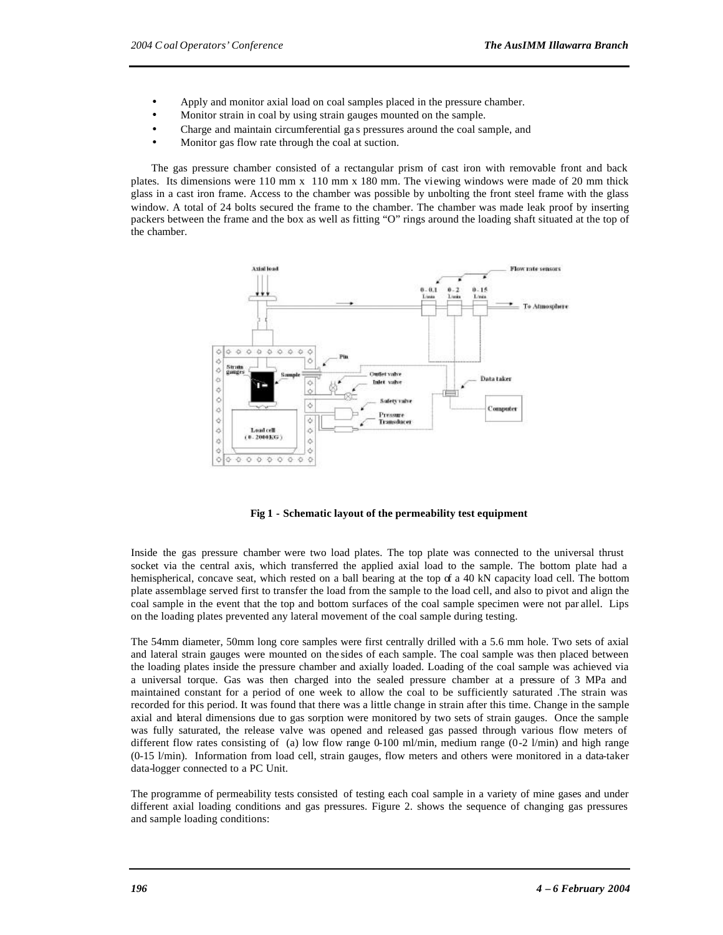- Apply and monitor axial load on coal samples placed in the pressure chamber.
- Monitor strain in coal by using strain gauges mounted on the sample.
- Charge and maintain circumferential ga s pressures around the coal sample, and
- Monitor gas flow rate through the coal at suction.

The gas pressure chamber consisted of a rectangular prism of cast iron with removable front and back plates. Its dimensions were 110 mm x 110 mm x 180 mm. The viewing windows were made of 20 mm thick glass in a cast iron frame. Access to the chamber was possible by unbolting the front steel frame with the glass window. A total of 24 bolts secured the frame to the chamber. The chamber was made leak proof by inserting packers between the frame and the box as well as fitting "O" rings around the loading shaft situated at the top of the chamber.



**Fig 1 - Schematic layout of the permeability test equipment**

Inside the gas pressure chamber were two load plates. The top plate was connected to the universal thrust socket via the central axis, which transferred the applied axial load to the sample. The bottom plate had a hemispherical, concave seat, which rested on a ball bearing at the top of a 40 kN capacity load cell. The bottom plate assemblage served first to transfer the load from the sample to the load cell, and also to pivot and align the coal sample in the event that the top and bottom surfaces of the coal sample specimen were not par allel. Lips on the loading plates prevented any lateral movement of the coal sample during testing.

The 54mm diameter, 50mm long core samples were first centrally drilled with a 5.6 mm hole. Two sets of axial and lateral strain gauges were mounted on the sides of each sample. The coal sample was then placed between the loading plates inside the pressure chamber and axially loaded. Loading of the coal sample was achieved via a universal torque. Gas was then charged into the sealed pressure chamber at a pressure of 3 MPa and maintained constant for a period of one week to allow the coal to be sufficiently saturated .The strain was recorded for this period. It was found that there was a little change in strain after this time. Change in the sample axial and lateral dimensions due to gas sorption were monitored by two sets of strain gauges. Once the sample was fully saturated, the release valve was opened and released gas passed through various flow meters of different flow rates consisting of (a) low flow range  $0-100$  ml/min, medium range  $(0-2 \text{ l/min})$  and high range (0-15 l/min). Information from load cell, strain gauges, flow meters and others were monitored in a data-taker data-logger connected to a PC Unit.

The programme of permeability tests consisted of testing each coal sample in a variety of mine gases and under different axial loading conditions and gas pressures. Figure 2. shows the sequence of changing gas pressures and sample loading conditions: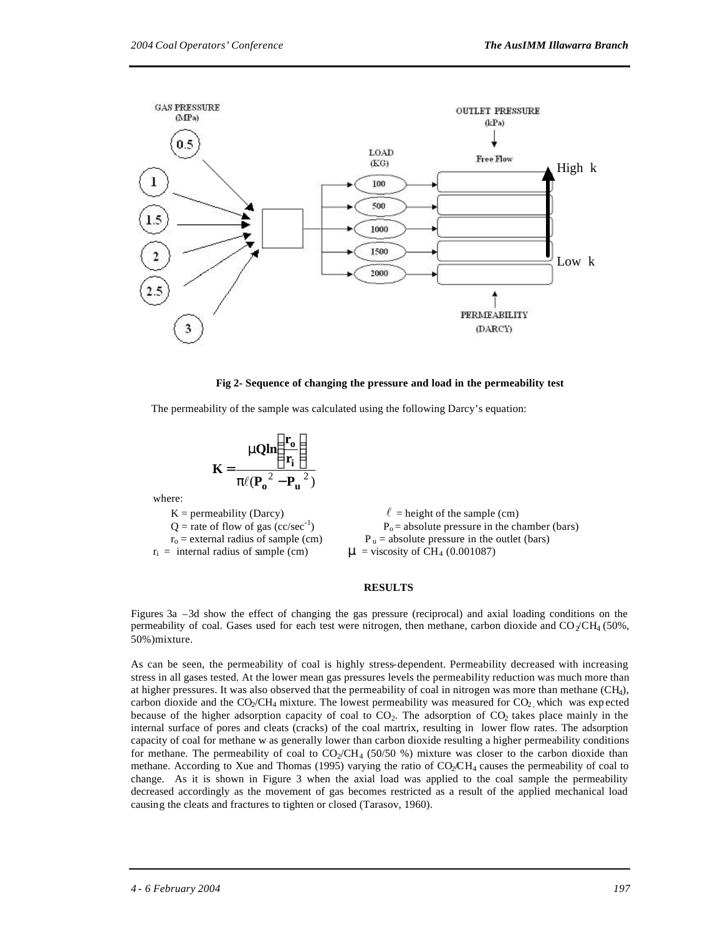

#### **Fig 2- Sequence of changing the pressure and load in the permeability test**

The permeability of the sample was calculated using the following Darcy's equation:

$$
K = \frac{nQln\left(\frac{r_o}{r_i}\right)}{p\ell(P_o^2 - P_u^2)}
$$

where:

 $K =$  permeability (Darcy)  $\ell =$  height of the sample (cm)  $Q$  = rate of flow of gas (cc/sec<sup>-1</sup>)  $r_0$  = external radius of sample (cm)  $P_u$  = absolute pressure in the outlet (bars)  $r_i$  = internal radius of sample (cm)  $\boldsymbol{m}$  = viscosity of CH<sub>4</sub> (0.001087)



#### **RESULTS**

Figures 3a –3d show the effect of changing the gas pressure (reciprocal) and axial loading conditions on the permeability of coal. Gases used for each test were nitrogen, then methane, carbon dioxide and  $CO<sub>2</sub>/CH<sub>4</sub> (50%,$ 50%)mixture.

As can be seen, the permeability of coal is highly stress-dependent. Permeability decreased with increasing stress in all gases tested. At the lower mean gas pressures levels the permeability reduction was much more than at higher pressures. It was also observed that the permeability of coal in nitrogen was more than methane (CH4), carbon dioxide and the  $CO_2/CH_4$  mixture. The lowest permeability was measured for  $CO_2$ , which was expected because of the higher adsorption capacity of coal to  $CO<sub>2</sub>$ . The adsorption of  $CO<sub>2</sub>$  takes place mainly in the internal surface of pores and cleats (cracks) of the coal martrix, resulting in lower flow rates. The adsorption capacity of coal for methane w as generally lower than carbon dioxide resulting a higher permeability conditions for methane. The permeability of coal to  $CO_2/CH_4$  (50/50 %) mixture was closer to the carbon dioxide than methane. According to Xue and Thomas (1995) varying the ratio of  $CO<sub>2</sub>CH<sub>4</sub>$  causes the permeability of coal to change. As it is shown in Figure 3 when the axial load was applied to the coal sample the permeability decreased accordingly as the movement of gas becomes restricted as a result of the applied mechanical load causing the cleats and fractures to tighten or closed (Tarasov, 1960).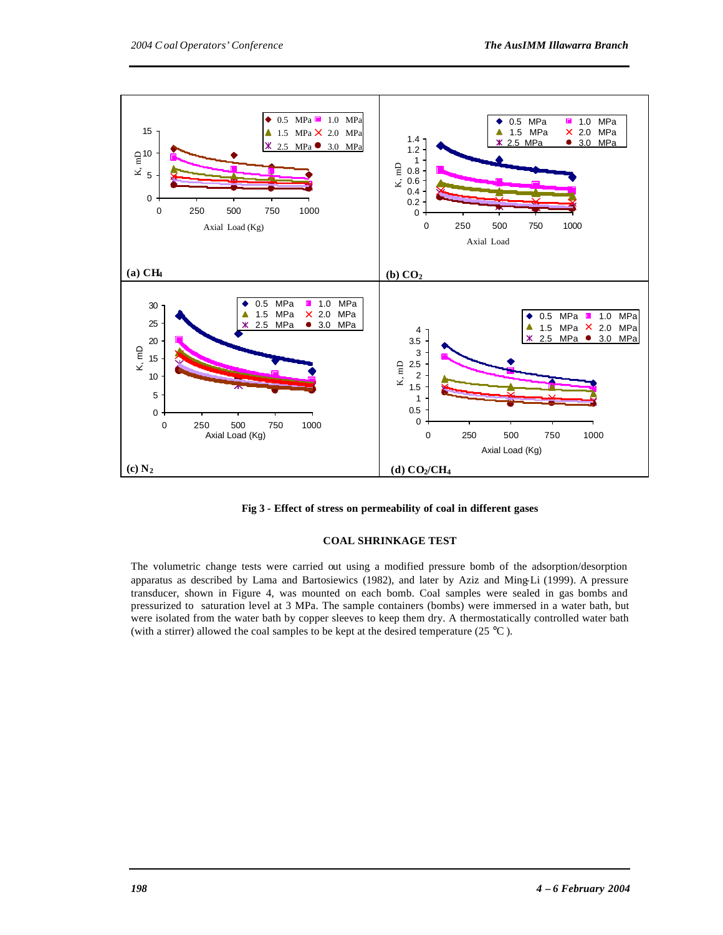

**Fig 3 - Effect of stress on permeability of coal in different gases**

#### **COAL SHRINKAGE TEST**

The volumetric change tests were carried out using a modified pressure bomb of the adsorption/desorption apparatus as described by Lama and Bartosiewics (1982), and later by Aziz and Ming-Li (1999). A pressure transducer, shown in Figure 4, was mounted on each bomb. Coal samples were sealed in gas bombs and pressurized to saturation level at 3 MPa. The sample containers (bombs) were immersed in a water bath, but were isolated from the water bath by copper sleeves to keep them dry. A thermostatically controlled water bath (with a stirrer) allowed the coal samples to be kept at the desired temperature (25  $^{\circ}$ C).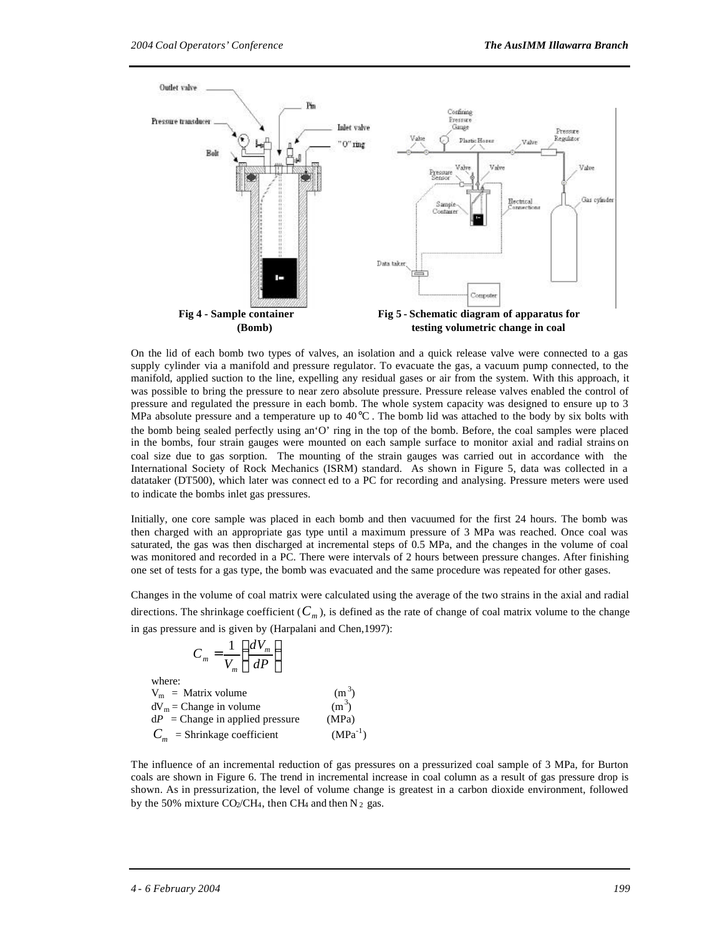

On the lid of each bomb two types of valves, an isolation and a quick release valve were connected to a gas supply cylinder via a manifold and pressure regulator. To evacuate the gas, a vacuum pump connected, to the manifold, applied suction to the line, expelling any residual gases or air from the system. With this approach, it was possible to bring the pressure to near zero absolute pressure. Pressure release valves enabled the control of pressure and regulated the pressure in each bomb. The whole system capacity was designed to ensure up to 3 MPa absolute pressure and a temperature up to  $40^{\circ}$ C. The bomb lid was attached to the body by six bolts with the bomb being sealed perfectly using an'O' ring in the top of the bomb. Before, the coal samples were placed in the bombs, four strain gauges were mounted on each sample surface to monitor axial and radial strains on coal size due to gas sorption. The mounting of the strain gauges was carried out in accordance with the International Society of Rock Mechanics (ISRM) standard. As shown in Figure 5, data was collected in a datataker (DT500), which later was connect ed to a PC for recording and analysing. Pressure meters were used to indicate the bombs inlet gas pressures.

Initially, one core sample was placed in each bomb and then vacuumed for the first 24 hours. The bomb was then charged with an appropriate gas type until a maximum pressure of 3 MPa was reached. Once coal was saturated, the gas was then discharged at incremental steps of 0.5 MPa, and the changes in the volume of coal was monitored and recorded in a PC. There were intervals of 2 hours between pressure changes. After finishing one set of tests for a gas type, the bomb was evacuated and the same procedure was repeated for other gases.

Changes in the volume of coal matrix were calculated using the average of the two strains in the axial and radial directions. The shrinkage coefficient ( $C_m$ ), is defined as the rate of change of coal matrix volume to the change in gas pressure and is given by (Harpalani and Chen,1997):

$$
C_m = \frac{1}{V_m} \left( \frac{dV_m}{dP} \right)
$$

where:

 $V_m$  = Matrix volume  $(m^3)$  $dV_m$  = Change in volume (m<sup>3</sup>)<br>  $dP$  = Change in applied pressure (MPa)  $(m^3)$  $dP$  = Change in applied pressure  $C_m$  = Shrinkage coefficient (MPa<sup>-1</sup>)  $(MPa^{-1})$ 

The influence of an incremental reduction of gas pressures on a pressurized coal sample of 3 MPa, for Burton coals are shown in Figure 6. The trend in incremental increase in coal column as a result of gas pressure drop is shown. As in pressurization, the level of volume change is greatest in a carbon dioxide environment, followed by the 50% mixture  $CO_2/CH_4$ , then CH<sub>4</sub> and then N<sub>2</sub> gas.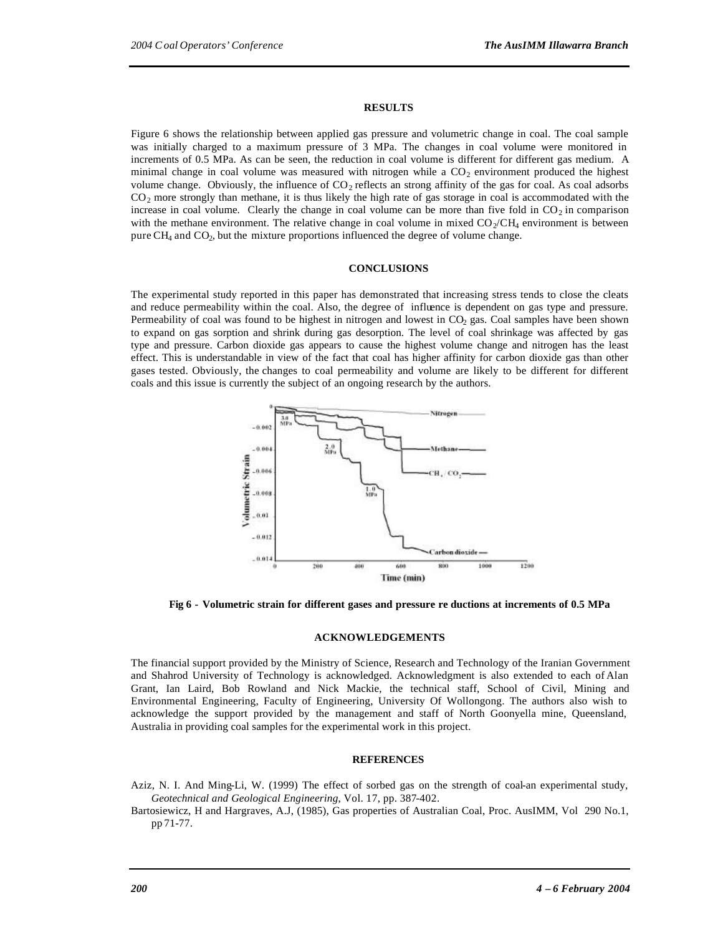#### **RESULTS**

Figure 6 shows the relationship between applied gas pressure and volumetric change in coal. The coal sample was initially charged to a maximum pressure of 3 MPa. The changes in coal volume were monitored in increments of 0.5 MPa. As can be seen, the reduction in coal volume is different for different gas medium. A minimal change in coal volume was measured with nitrogen while a  $CO<sub>2</sub>$  environment produced the highest volume change. Obviously, the influence of  $CO_2$  reflects an strong affinity of the gas for coal. As coal adsorbs  $CO<sub>2</sub>$  more strongly than methane, it is thus likely the high rate of gas storage in coal is accommodated with the increase in coal volume. Clearly the change in coal volume can be more than five fold in  $CO<sub>2</sub>$  in comparison with the methane environment. The relative change in coal volume in mixed  $CO_2/CH_4$  environment is between pure  $CH_4$  and  $CO_2$ , but the mixture proportions influenced the degree of volume change.

#### **CONCLUSIONS**

The experimental study reported in this paper has demonstrated that increasing stress tends to close the cleats and reduce permeability within the coal. Also, the degree of influence is dependent on gas type and pressure. Permeability of coal was found to be highest in nitrogen and lowest in  $CO<sub>2</sub>$  gas. Coal samples have been shown to expand on gas sorption and shrink during gas desorption. The level of coal shrinkage was affected by gas type and pressure. Carbon dioxide gas appears to cause the highest volume change and nitrogen has the least effect. This is understandable in view of the fact that coal has higher affinity for carbon dioxide gas than other gases tested. Obviously, the changes to coal permeability and volume are likely to be different for different coals and this issue is currently the subject of an ongoing research by the authors.



**Fig 6 - Volumetric strain for different gases and pressure re ductions at increments of 0.5 MPa**

#### **ACKNOWLEDGEMENTS**

The financial support provided by the Ministry of Science, Research and Technology of the Iranian Government and Shahrod University of Technology is acknowledged. Acknowledgment is also extended to each of Alan Grant, Ian Laird, Bob Rowland and Nick Mackie, the technical staff, School of Civil, Mining and Environmental Engineering, Faculty of Engineering, University Of Wollongong. The authors also wish to acknowledge the support provided by the management and staff of North Goonyella mine, Queensland, Australia in providing coal samples for the experimental work in this project.

#### **REFERENCES**

- Aziz, N. I. And Ming-Li, W. (1999) The effect of sorbed gas on the strength of coal-an experimental study, *Geotechnical and Geological Engineering*, Vol. 17, pp. 387-402.
- Bartosiewicz, H and Hargraves, A.J, (1985), Gas properties of Australian Coal, Proc. AusIMM, Vol 290 No.1, pp 71-77.